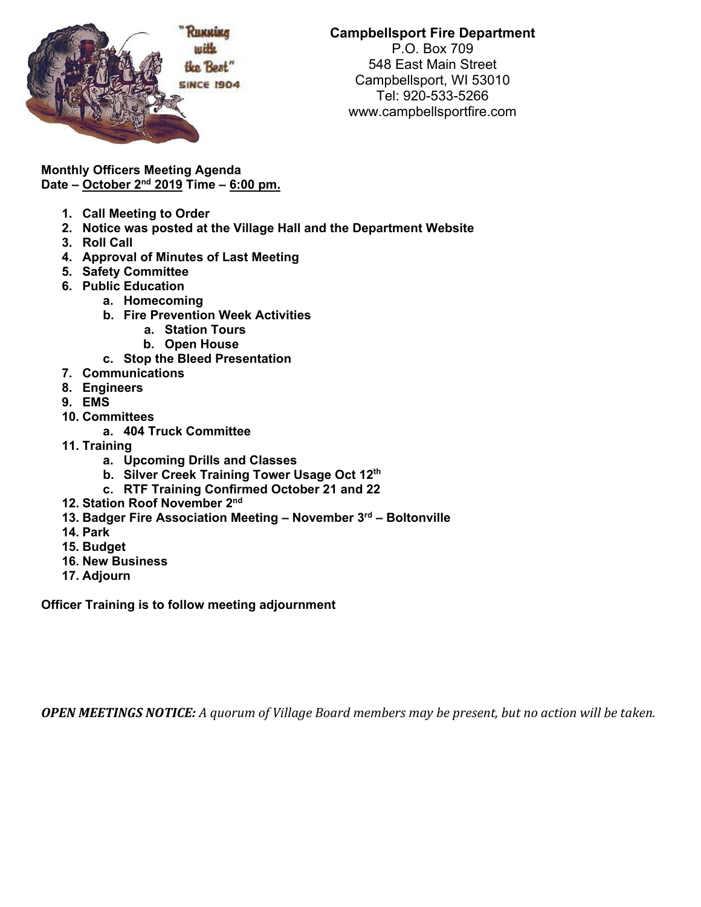

## **Campbellsport Fire Department**

P.O. Box 709 548 East Main Street Campbellsport, WI 53010 Tel: 920-533-5266 www.campbellsportfire.com

**Monthly Officers Meeting Agenda Date – October 2nd 2019 Time – 6:00 pm.** 

- **1. Call Meeting to Order**
- **2. Notice was posted at the Village Hall and the Department Website**
- **3. Roll Call**
- **4. Approval of Minutes of Last Meeting**
- **5. Safety Committee**
- **6. Public Education** 
	- **a. Homecoming**
	- **b. Fire Prevention Week Activities** 
		- **a. Station Tours**
		- **b. Open House**
	- **c. Stop the Bleed Presentation**
- **7. Communications**
- **8. Engineers**
- **9. EMS**
- **10. Committees** 
	- **a. 404 Truck Committee**
- **11. Training** 
	- **a. Upcoming Drills and Classes**
	- **b. Silver Creek Training Tower Usage Oct 12th**
	- **c. RTF Training Confirmed October 21 and 22**
- **12. Station Roof November 2nd**
- **13. Badger Fire Association Meeting November 3rd Boltonville**
- **14. Park**
- **15. Budget**
- **16. New Business**
- **17. Adjourn**

**Officer Training is to follow meeting adjournment** 

**OPEN MEETINGS NOTICE:** A quorum of Village Board members may be present, but no action will be taken.